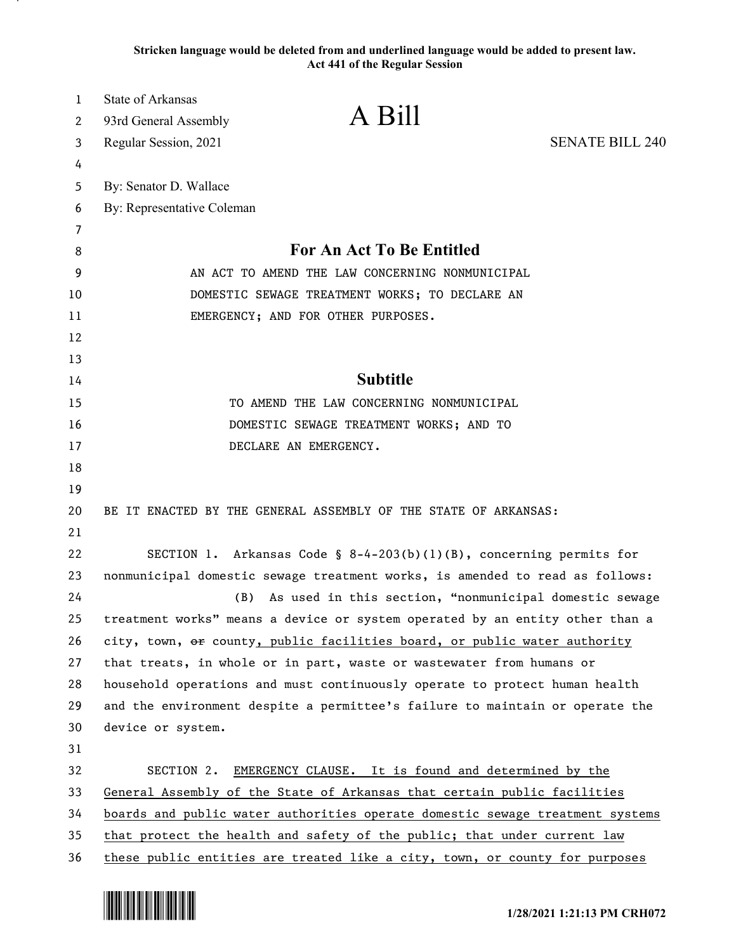**Stricken language would be deleted from and underlined language would be added to present law. Act 441 of the Regular Session**

| $\mathbf{1}$ | <b>State of Arkansas</b>   | A Bill                                                                        |                        |
|--------------|----------------------------|-------------------------------------------------------------------------------|------------------------|
| 2            | 93rd General Assembly      |                                                                               |                        |
| 3            | Regular Session, 2021      |                                                                               | <b>SENATE BILL 240</b> |
| 4            |                            |                                                                               |                        |
| 5            | By: Senator D. Wallace     |                                                                               |                        |
| 6            | By: Representative Coleman |                                                                               |                        |
| 7            |                            | For An Act To Be Entitled                                                     |                        |
| 8            |                            | AN ACT TO AMEND THE LAW CONCERNING NONMUNICIPAL                               |                        |
| 9            |                            |                                                                               |                        |
| 10           |                            | DOMESTIC SEWAGE TREATMENT WORKS; TO DECLARE AN                                |                        |
| 11           |                            | EMERGENCY; AND FOR OTHER PURPOSES.                                            |                        |
| 12<br>13     |                            |                                                                               |                        |
| 14           |                            | <b>Subtitle</b>                                                               |                        |
| 15           |                            | TO AMEND THE LAW CONCERNING NONMUNICIPAL                                      |                        |
| 16           |                            | DOMESTIC SEWAGE TREATMENT WORKS; AND TO                                       |                        |
| 17           |                            | DECLARE AN EMERGENCY.                                                         |                        |
| 18           |                            |                                                                               |                        |
| 19           |                            |                                                                               |                        |
| 20           |                            | BE IT ENACTED BY THE GENERAL ASSEMBLY OF THE STATE OF ARKANSAS:               |                        |
| 21           |                            |                                                                               |                        |
| 22           |                            | SECTION 1. Arkansas Code § 8-4-203(b)(1)(B), concerning permits for           |                        |
| 23           |                            | nonmunicipal domestic sewage treatment works, is amended to read as follows:  |                        |
| 24           | (B)                        | As used in this section, "nonmunicipal domestic sewage                        |                        |
| 25           |                            | treatment works" means a device or system operated by an entity other than a  |                        |
| 26           |                            | city, town, or county, public facilities board, or public water authority     |                        |
| 27           |                            | that treats, in whole or in part, waste or wastewater from humans or          |                        |
| 28           |                            | household operations and must continuously operate to protect human health    |                        |
| 29           |                            | and the environment despite a permittee's failure to maintain or operate the  |                        |
| 30           | device or system.          |                                                                               |                        |
| 31           |                            |                                                                               |                        |
| 32           |                            | SECTION 2. EMERGENCY CLAUSE. It is found and determined by the                |                        |
| 33           |                            | General Assembly of the State of Arkansas that certain public facilities      |                        |
| 34           |                            | boards and public water authorities operate domestic sewage treatment systems |                        |
| 35           |                            | that protect the health and safety of the public; that under current law      |                        |
| 36           |                            | these public entities are treated like a city, town, or county for purposes   |                        |